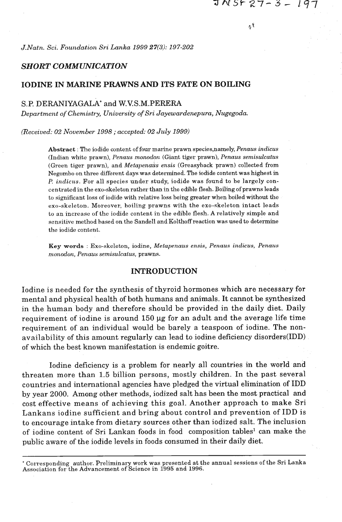лÅ

*J.Natn. Sci. Fozcndation Sri Lanka 1999* **27(3):** *197-202* 

## *SHORT COMMUNICATION*

# IODINE IN MARINE PRAWNS AND ITS FATE ON BOILING

### S.P. DERANIYAGALA' and W.VS.M.PERERA

Department of Chemistry, University of Sri Jayewardenepura, Nugegoda.

*(Received: 02 November 1998 ; accepted: 02 July 1999)* 

**Absixact** : The iodide content of four marine prawn species,namely, *Penaus in.dicus*  (Indian white prawn), *Penaus monodon* (Giant tiger prawn), *Penaus semisulcatus* (Green tiger prawn), and *Metupenazis ensis* (Greasyback prawn) collected from Negombo on three different days was determined. The iodide content was highest in *P. indicus.* For all species under study, iodide was found to be largely concentrated in the exo-skeleton rather than in the edible flesh. Boiling of prawns leads to significant loss of iodide with relative loss being greater when boiled without the exo-skeleton. Moreover, boiling prawns with the exo-skeleton intact leads to an increase of the iodide content in the edible flesh. A relatively simple and sensitive method hased on the Sandell andKolthoffreaction was used to determine the iodide content.

**Key words** : Exo-skeleton, iodine, *Metupenaus ensis, Penaus indicus, Penam*   $monodon$ , *Penaus semisulcatus*, prawns.

## INTRODUCTION

Iodine is needed for the synthesis of thyroid hormones which are necessary for mental and physical health of both humans and animals. It cannot be synthesized in the human body and therefore should be provided in the daily diet. Daily requirement of iodine is around  $150 \mu g$  for an adult and the average life time requirement of an individual would be barely a teaspoon of iodine. The nonavailability of this amount regularly can lead to iodine deficiency disorders(1DD) of which the best known manifestation is endemic goitre.

Iodine deficiency is a problem for nearly all countries in the world and threaten more than 1.5 billion persons, mostly children. In the past several countries and international agencies have pledged the virtual elimination **of** IDD by year 2000. Among other methods, iodized salt has been the most practical and cost effective means of achieving this goal. Another approach to make Sri Lankans iodine sufficient and bring about control and prevention of IDD is to encourage intake from dietary sources other than iodized salt. The inclusion of iodine content of Sri Lankan foods in food composition tables<sup>1</sup> can make the public aware of the iodide levels in foods consumed in their daily diet.

<sup>\*</sup> Corresponding author. Preliminary work was presented at the annual sessions of the Sri Lanka Association for the Advancement of Science in 1995 and 1996.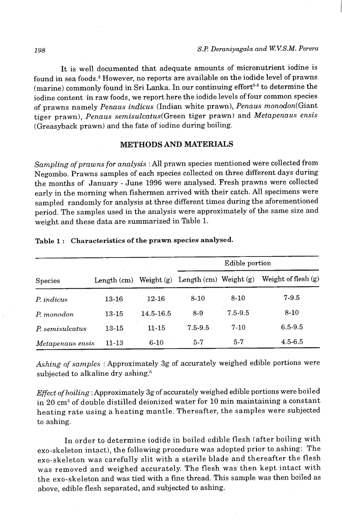It is well documented that adequate amounts of micronutrient iodine is found in sea foods.2 However, no reports are available on the iodide level of prawns (marine) commonly found in Sri Lanka. In our continuing effort<sup>3-5</sup> to determine the iodine content in raw foods, we report here the iodide levels of four common species of prawns namely Penaus indicus (Indian white prawn), Penaus monodon(Giant tiger prawn), Penaus semisulcatus(Green tiger prawn) and Metapenaus ensis (Greasyback prawn) and the fate of iodine during boiling.

# **METHODS AND MATERIALS**

Sampling of prawns for analysis : All prawn species mentioned were collected from Negombo. Prawns samples of each species collected on three different days during the months of January - June 1996 were analysed. Fresh prawns were collected early in the morning when fishermen arrived with their catch. All specimens were sampled randomly for analysis at three different times during the aforementioned period. The samples used in the analysis were approximately of the same size and weight and these data are summarized in Table 1.

|                  |               |              |                            | Edible portion |                       |
|------------------|---------------|--------------|----------------------------|----------------|-----------------------|
| <b>Species</b>   | Length $(cm)$ | Weight $(g)$ | Length $(cm)$ Weight $(g)$ |                | Weight of flesh $(g)$ |
| P. indicus       | 13-16         | 12-16        | $8-10$                     | $8 - 10$       | $7-9.5$               |
| P. monodon       | 13-15         | 14.5-16.5    | $8-9$                      | $7.5 - 9.5$    | $8-10$                |
| P. semisulcatus  | $13 - 15$     | $11 - 15$    | $7.5 - 9.5$                | $7 - 10$       | $6.5 - 9.5$           |
| Metapenaus ensis | $11 - 13$     | $6 - 10$     | $5 - 7$                    | $5 - 7$        | 4.5-6.5               |

#### **Table 1** : **Characteristics of the prawn species analysed.**

Ashing of samples : Approximately 3g of accurately weighed edible portions were subjected to alkaline dry ashing.<sup>6</sup>

Effect of boiling : Approximately 3g of accurately weighed edible portions were boiled in 20 cm3 of double distilled deionized water for 10 min maintaining a constant heating rate using a heating mantle. Thereafter, the samples were subjected to ashing.

In order to determine iodide in boiled edible flesh (after boiling with exo-skeleton intact), the following procedure was adopted prior to ashing: The exo-skeleton was carefully slit with a sterile blade and thereafter the flesh was removed and weighed accurately. The flesh was then kept intact with the exo-skeleton and was tied with a fine thread. This sample was then boiled as above, edible flesh separated, and subjected to ashing.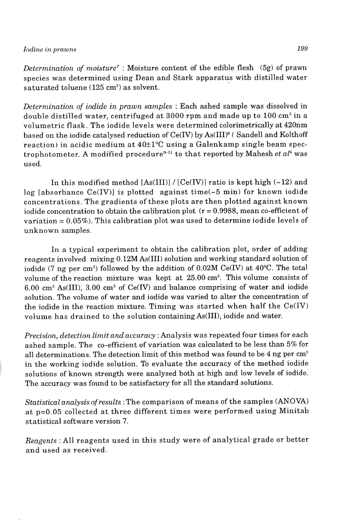### *Iodine* **in** *prawns* **199**

*Determination of moisture7* : Moisture content of the edible flesh (5g) of prawn species was determined using Dean and Stark apparatus with distilled water saturated toluene (125 cm<sup>3</sup>) as solvent.

*Determination of iodide in prawn samples* : Each ashed sample was dissolved in double distilled water, centrifuged at  $3000$  rpm and made up to  $100 \text{ cm}^3$  in a volumetric flask. The iodide levels were determined calorimetrically at 420nm based on the iodide catalysed reduction of Ce(IV) by As(III)<sup>8</sup> (Sandell and Kolthoff reaction) in acidic medium at  $40\pm 1\degree C$  using a Galenkamp single beam spectrophotometer. A modified procedure<sup>9-11</sup> to that reported by Mahesh *et*  $a l<sup>6</sup>$  was used.

In this modified method  $[As(III)] / [Ce(IV)]$  ratio is kept high (~12) and log [absorbance Ce(IV)] is plotted against time( $\sim$ 5 min) for known iodide concentrations. The gradients of these plots are then plotted against known iodide concentration to obtain the calibration plot  $(r = 0.9988)$ , mean co-efficient of variation  $= 0.05\%$ ). This calibration plot was used to determine iodide levels of unknown samples.

In a typical experiment to obtain the calibration plot, order of adding reagents involved mixing 0.12M As(II1) solution and working standard solution of iodide (7 ng per cm<sup>3</sup>) followed by the addition of  $0.02M$  Ce(IV) at  $40^{\circ}$ C. The total volume of the reaction mixture was kept at 25.00 cm? This volume consists of 6.00 cm" As(III), 3.00 cm" of Ce(1V) and balance comprising of water and iodide solution. The volume of water and iodide was varied to alter the concentration of the iodide in the reaction mixture. Timing was started when half the Ce(1V) volume has drained to the solution containingAs(III), iodide and water.

*Precision, detection limit and accuracy* :Analysis was repeated four times for each ashed sample. The co-efficient of variation was calculated to be less than 5% for all determinations. The detection limit of this method was found to be 4 ng per cm<sup>3</sup> in the working iodide solution. To evaluate the accuracy of the method iodide solutions of known strength were analysed both at high and low levels of iodide. The accuracy was found to be satisfactory for all the standard solutions.

*Statistical analysis ofresults* :The comparison of means.of the samples (ANOVA) at p=0.05 collected at three different times were performed using Minitab statistical software version 7.

*Reagents* :All reagents used in this study were of analytical grade or better and used as received.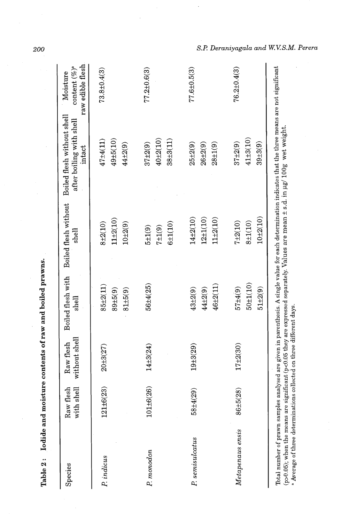| Species          | Raw flesh<br>with shell | without shell<br>Raw flesh | Boiled flesh with<br>shell               | Boiled flesh without<br>shell                 | Boiled flesh without shell<br>after boiling with shell<br>intact | raw edible flesh<br>content $(\%)^{\circ}$<br>Moisture |
|------------------|-------------------------|----------------------------|------------------------------------------|-----------------------------------------------|------------------------------------------------------------------|--------------------------------------------------------|
| P. indicus       | $121 \pm 6(23)$         | $20 + 3(27)$               | $85 + 2(11)$<br>$89 + 5(9)$              | $11 + 2(10)$<br>$8 + 2(10)$                   | $49 + 5(10)$<br>$47 + 4(11)$                                     | $73.8 \pm 0.4(3)$                                      |
| P. monodon       | $101\pm 6(26)$          | $14 + 3(24)$               | 56±4(25)<br>$81 + 5(9)$                  | $10 + 2(9)$<br>$5 + 1(9)$                     | 44±2(9)<br>$37 + 2(9)$                                           | $77.2 \pm 0.6(3)$                                      |
|                  |                         |                            |                                          | $6 + 1(10)$<br>$7 + 1(9)$                     | $40 + 2(10)$<br>$38+3(11)$                                       |                                                        |
| P. semisulcatus  | $58 + 4(29)$            | $19 + 3(29)$               | 46±2(11)<br>44±2(9)<br>$43 + 2(9)$       | $12 + 1(10)$<br>$14 + 2(10)$<br>$11\pm 2(10)$ | $25 + 2(9)$<br>$26 + 2(9)$<br>$28 + 1(9)$                        | $77.6 \pm 0.5(3)$                                      |
| Metapenaus ensis | 86±5(28)                | $17 + 2(30)$               | $50 + 1(10)$<br>57±4(9)<br>$51 \pm 2(9)$ | $10+2(10)$<br>$7 + 2(10)$<br>$8 + 1(10)$      | $41 + 3(10)$<br>$39 + 3(9)$<br>$37 + 2(9)$                       | $76.2 \pm 0.4(3)$                                      |

Table 2: Iodide and moisture contents of raw and boiled prawns.

200

(p>0.05); when the means are significant (p<0.05 they are expressed separately. Values are mean  $\pm$  s.d. in  $\mu$ g/ 100g wet weight.

a Average of three determinations collected on three different days.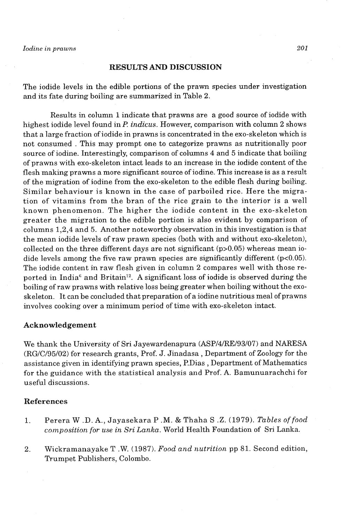#### **RESULTS AND DISCUSSION**

The iodide levels in the edible portions of the prawn species under investigation and its fate during boiling are summarized in Table 2.

Results in column 1 indicate that prawns are a good source of iodide with highest iodide level found in E? *indicus.* However, comparison with column **2** shows that a large fraction of iodide in prawns is concentrated in the exo-skeleton which is not consumed . This may prompt one to categorize prawns as nutritionally poor source of iodine. Interestingly, comparison of columns 4 and 5 indicate that boiling of prawns with exo-skeleton intact leads to **an** increase in the iodide content of the flesh making prawns a more significant source of iodine. This increase is as a result of the migration of iodine from the exo-skeleton to the edible flesh during boiling. Similar behaviour is known in the case of parboiled rice. Here the migration of vitamins from the bran of the rice grain to the interior is a well known phenomenon. The higher the iodide content in the exo-skeleton greater the migration to the edible portion is also evident by comparison of columns **1,2,4** and 5. Another noteworthy observation in this investigation is that the mean iodide levels of raw prawn species (both with and without exo-skeleton), collected on the three different days are not significant (p>0.05) whereas mean iodide levels among the five raw prawn species are significantly different  $(p<0.05)$ . The iodide content in raw flesh given in column 2 compares well with those reported in India<sup>6</sup> and Britain<sup>12</sup>. A significant loss of iodide is observed during the boiling of raw prawns with relative loss being greater when boiling without the exoskeleton. It can be concluded that preparation of a iodine nutritious meal of prawns involves cooking over a minimum period of time with exo-skeleton intact.

#### **Acknowledgement**

We thank the University of Sri Jayewardenapura (ASP/4/RE/93/07) and NARESA (RG/C/95/02) for research grants, Prof. J. Jinadasa , Department of Zoology for the assistance given in identifying prawn species, P.Dias, Department of Mathematics for the guidance with the statistical analysis and Prof. A. Bamunuarachchi for useful discussions.

#### **References**

- 1. Perera W .D. A., Jayasekara P **.M.** & Thaha S .Z. **(1979).** *Tables of food colnposition for use in Sri Lanka.* World Health Foundation of Sri Lanka.
- **2.** Wickramanayake T .W. (1987). *Food and nutrition* pp 81. Second edition, Trumpet Publishers, Colombo.